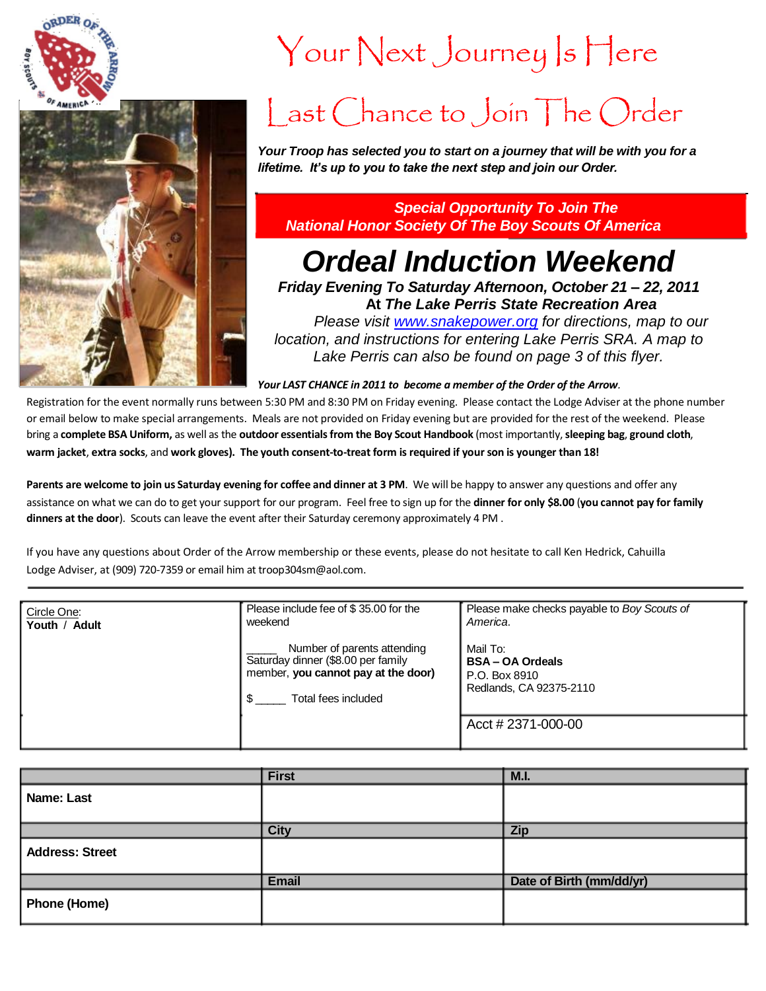



# Your Next Journey Is Here

## Last Chance to Join The Order

*Your Troop has selected you to start on a journey that will be with you for a lifetime. It's up to you to take the next step and join our Order.* 

### *Special Opportunity To Join The National Honor Society Of The Boy Scouts Of America*

### *Ordeal Induction Weekend*

*Friday Evening To Saturday Afternoon, October 21 – 22, 2011* **At** *The Lake Perris State Recreation Area*

*Please visit [www.snakepower.org](http://www.snakepower.org/) for directions, map to our location, and instructions for entering Lake Perris SRA. A map to Lake Perris can also be found on page 3 of this flyer.*

*Your LAST CHANCE in 2011 to become a member of the Order of the Arrow.* 

Registration for the event normally runs between 5:30 PM and 8:30 PM on Friday evening. Please contact the Lodge Adviser at the phone number or email below to make special arrangements. Meals are not provided on Friday evening but are provided for the rest of the weekend. Please bring a complete BSA Uniform, as well as the outdoor essentials from the Boy Scout Handbook (most importantly, sleeping bag, ground cloth, warm jacket, extra socks, and work gloves). The youth consent-to-treat form is required if your son is younger than 18!

Parents are welcome to join us Saturday evening for coffee and dinner at 3 PM. We will be happy to answer any questions and offer any assistance on what we can do to get your support for our program. Feel free to sign up for the **dinner for only \$8.00** (**you cannot pay for family dinners at the door**). Scouts can leave the event after their Saturday ceremony approximately 4 PM .

If you have any questions about Order of the Arrow membership or these events, please do not hesitate to call Ken Hedrick, Cahuilla Lodge Adviser, at (909) 720-7359 or email him at troop304sm@aol.com.

| Circle One:   | Please include fee of \$35.00 for the<br>weekend                                                                                | Please make checks payable to Boy Scouts of<br>America.                       |
|---------------|---------------------------------------------------------------------------------------------------------------------------------|-------------------------------------------------------------------------------|
| Youth / Adult | Number of parents attending<br>Saturday dinner (\$8.00 per family<br>member, you cannot pay at the door)<br>Total fees included | Mail To:<br><b>BSA-OA Ordeals</b><br>P.O. Box 8910<br>Redlands, CA 92375-2110 |
|               |                                                                                                                                 | $Acct \# 2371 - 000 - 00$                                                     |

|                        | <b>First</b> | M.I.                     |
|------------------------|--------------|--------------------------|
| Name: Last             |              |                          |
|                        | <b>City</b>  | <b>Zip</b>               |
| <b>Address: Street</b> |              |                          |
|                        | <b>Email</b> | Date of Birth (mm/dd/yr) |
| <b>Phone (Home)</b>    |              |                          |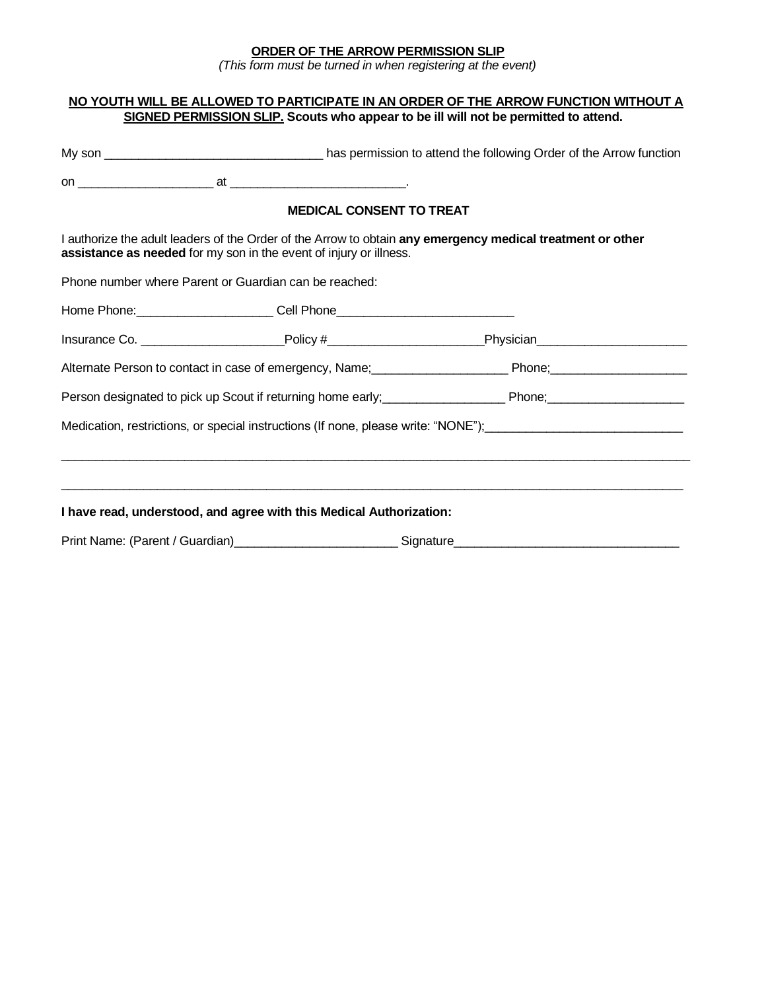#### **ORDER OF THE ARROW PERMISSION SLIP**

*(This form must be turned in when registering at the event)*

#### **NO YOUTH WILL BE ALLOWED TO PARTICIPATE IN AN ORDER OF THE ARROW FUNCTION WITHOUT A SIGNED PERMISSION SLIP. Scouts who appear to be ill will not be permitted to attend.**

| <b>MEDICAL CONSENT TO TREAT</b>                                                                                                                                                                                                 |  |                                                                                                                |  |  |  |
|---------------------------------------------------------------------------------------------------------------------------------------------------------------------------------------------------------------------------------|--|----------------------------------------------------------------------------------------------------------------|--|--|--|
| I authorize the adult leaders of the Order of the Arrow to obtain any emergency medical treatment or other<br>assistance as needed for my son in the event of injury or illness.                                                |  |                                                                                                                |  |  |  |
| Phone number where Parent or Guardian can be reached:                                                                                                                                                                           |  |                                                                                                                |  |  |  |
|                                                                                                                                                                                                                                 |  |                                                                                                                |  |  |  |
|                                                                                                                                                                                                                                 |  | Insurance Co. ____________________________Policy #______________________________Physician_____________________ |  |  |  |
|                                                                                                                                                                                                                                 |  |                                                                                                                |  |  |  |
| Person designated to pick up Scout if returning home early;<br>management of those Phone; Phone; management of pick up Scout if returning home early; management of Phone; management of Phone; management of Phone; management |  |                                                                                                                |  |  |  |
| Medication, restrictions, or special instructions (If none, please write: "NONE"); [[[[[[[[[[[[[[[[[[[[[[[[[[                                                                                                                   |  |                                                                                                                |  |  |  |
|                                                                                                                                                                                                                                 |  |                                                                                                                |  |  |  |
|                                                                                                                                                                                                                                 |  |                                                                                                                |  |  |  |
| I have read, understood, and agree with this Medical Authorization:                                                                                                                                                             |  |                                                                                                                |  |  |  |
|                                                                                                                                                                                                                                 |  |                                                                                                                |  |  |  |